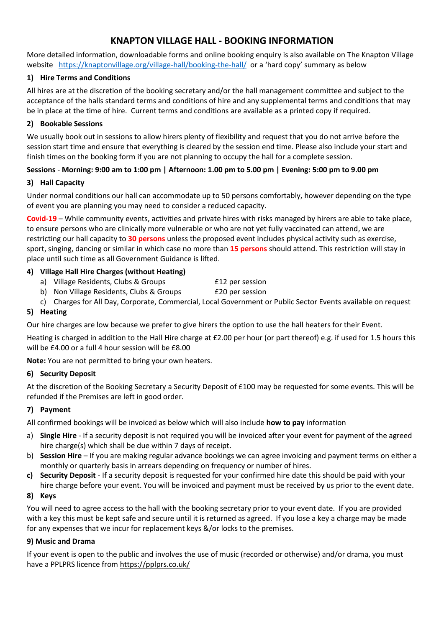## **KNAPTON VILLAGE HALL - BOOKING INFORMATION**

More detailed information, downloadable forms and online booking enquiry is also available on The Knapton Village website <https://knaptonvillage.org/village-hall/booking-the-hall/>or a 'hard copy' summary as below

## **1) Hire Terms and Conditions**

All hires are at the discretion of the booking secretary and/or the hall management committee and subject to the acceptance of the halls standard terms and conditions of hire and any supplemental terms and conditions that may be in place at the time of hire. Current terms and conditions are available as a printed copy if required.

## **2) Bookable Sessions**

We usually book out in sessions to allow hirers plenty of flexibility and request that you do not arrive before the session start time and ensure that everything is cleared by the session end time. Please also include your start and finish times on the booking form if you are not planning to occupy the hall for a complete session.

## **Sessions** - **Morning: 9:00 am to 1:00 pm | Afternoon: 1.00 pm to 5.00 pm | Evening: 5:00 pm to 9.00 pm**

#### **3) Hall Capacity**

Under normal conditions our hall can accommodate up to 50 persons comfortably, however depending on the type of event you are planning you may need to consider a reduced capacity.

**Covid-19** – While community events, activities and private hires with risks managed by hirers are able to take place, to ensure persons who are clinically more vulnerable or who are not yet fully vaccinated can attend, we are restricting our hall capacity to **30 persons** unless the proposed event includes physical activity such as exercise, sport, singing, dancing or similar in which case no more than **15 persons** should attend. This restriction will stay in place until such time as all Government Guidance is lifted.

## **4) Village Hall Hire Charges (without Heating)**

- a) Village Residents, Clubs & Groups **Ellack** E12 per session
- b) Non Village Residents, Clubs & Groups **E20** per session
- c) Charges for All Day, Corporate, Commercial, Local Government or Public Sector Events available on request

## **5) Heating**

Our hire charges are low because we prefer to give hirers the option to use the hall heaters for their Event.

Heating is charged in addition to the Hall Hire charge at £2.00 per hour (or part thereof) e.g. if used for 1.5 hours this will be £4.00 or a full 4 hour session will be £8.00

**Note:** You are not permitted to bring your own heaters.

#### **6) Security Deposit**

At the discretion of the Booking Secretary a Security Deposit of £100 may be requested for some events. This will be refunded if the Premises are left in good order.

#### **7) Payment**

All confirmed bookings will be invoiced as below which will also include **how to pay** information

- a) **Single Hire** If a security deposit is not required you will be invoiced after your event for payment of the agreed hire charge(s) which shall be due within 7 days of receipt.
- b) **Session Hire** If you are making regular advance bookings we can agree invoicing and payment terms on either a monthly or quarterly basis in arrears depending on frequency or number of hires.
- **c) Security Deposit** If a security deposit is requested for your confirmed hire date this should be paid with your hire charge before your event. You will be invoiced and payment must be received by us prior to the event date.

#### **8) Keys**

You will need to agree access to the hall with the booking secretary prior to your event date. If you are provided with a key this must be kept safe and secure until it is returned as agreed. If you lose a key a charge may be made for any expenses that we incur for replacement keys &/or locks to the premises.

#### **9) Music and Drama**

If your event is open to the public and involves the use of music (recorded or otherwise) and/or drama, you must have a PPLPRS licence fro[m https://pplprs.co.uk/](https://pplprs.co.uk/)